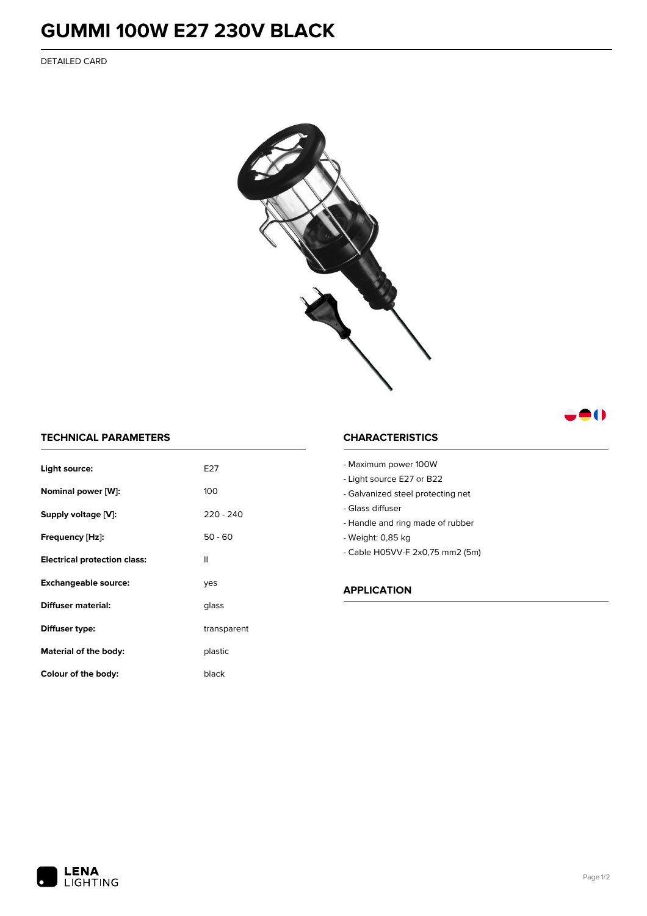## **GUMMI 100W E27 230V BLACK**

DETAILED CARD



### 80

#### **TECHNICAL PARAMETERS**

| Light source:                       | F27         |
|-------------------------------------|-------------|
| Nominal power [W]:                  | 100         |
| Supply voltage [V]:                 | $220 - 240$ |
| Frequency [Hz]:                     | $50 - 60$   |
| <b>Electrical protection class:</b> | Ш           |
| <b>Exchangeable source:</b>         | ves         |
| Diffuser material:                  | glass       |
| Diffuser type:                      | transparent |
| Material of the body:               | plastic     |
| Colour of the body:                 | black       |

#### **CHARACTERISTICS**

- Maximum power 100W - Light source E27 or B22
- 
- Galvanized steel protecting net
- Glass diffuser
- Handle and ring made of rubber
- Weight: 0,85 kg
- Cable H05VV-F 2x0,75 mm2 (5m)

#### **APPLICATION**